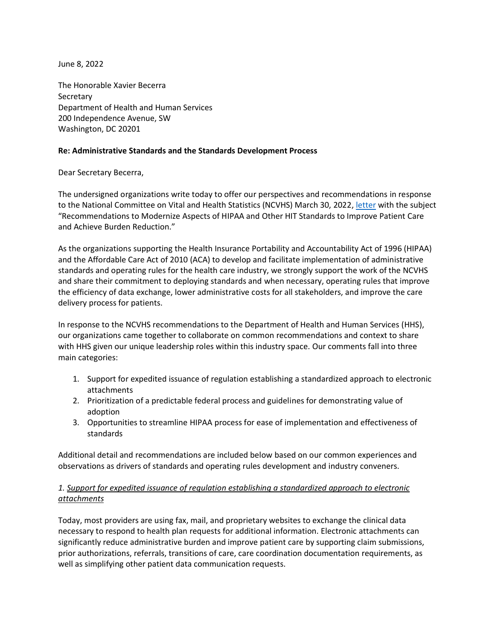June 8, 2022

The Honorable Xavier Becerra **Secretary** Department of Health and Human Services 200 Independence Avenue, SW Washington, DC 20201

#### **Re: Administrative Standards and the Standards Development Process**

Dear Secretary Becerra,

The undersigned organizations write today to offer our perspectives and recommendations in response to the National Committee on Vital and Health Statistics (NCVHS) March 30, 2022, [letter](https://ncvhs.hhs.gov/wp-content/uploads/2022/04/Recommendation-Letter-HIT-Standards-Modernization-to-Improve-Patient-Care-March-30-2022.pdf) with the subject "Recommendations to Modernize Aspects of HIPAA and Other HIT Standards to Improve Patient Care and Achieve Burden Reduction."

As the organizations supporting the Health Insurance Portability and Accountability Act of 1996 (HIPAA) and the Affordable Care Act of 2010 (ACA) to develop and facilitate implementation of administrative standards and operating rules for the health care industry, we strongly support the work of the NCVHS and share their commitment to deploying standards and when necessary, operating rules that improve the efficiency of data exchange, lower administrative costs for all stakeholders, and improve the care delivery process for patients.

In response to the NCVHS recommendations to the Department of Health and Human Services (HHS), our organizations came together to collaborate on common recommendations and context to share with HHS given our unique leadership roles within this industry space. Our comments fall into three main categories:

- 1. Support for expedited issuance of regulation establishing a standardized approach to electronic attachments
- 2. Prioritization of a predictable federal process and guidelines for demonstrating value of adoption
- 3. Opportunities to streamline HIPAA process for ease of implementation and effectiveness of standards

Additional detail and recommendations are included below based on our common experiences and observations as drivers of standards and operating rules development and industry conveners.

# *1. Support for expedited issuance of regulation establishing a standardized approach to electronic attachments*

Today, most providers are using fax, mail, and proprietary websites to exchange the clinical data necessary to respond to health plan requests for additional information. Electronic attachments can significantly reduce administrative burden and improve patient care by supporting claim submissions, prior authorizations, referrals, transitions of care, care coordination documentation requirements, as well as simplifying other patient data communication requests.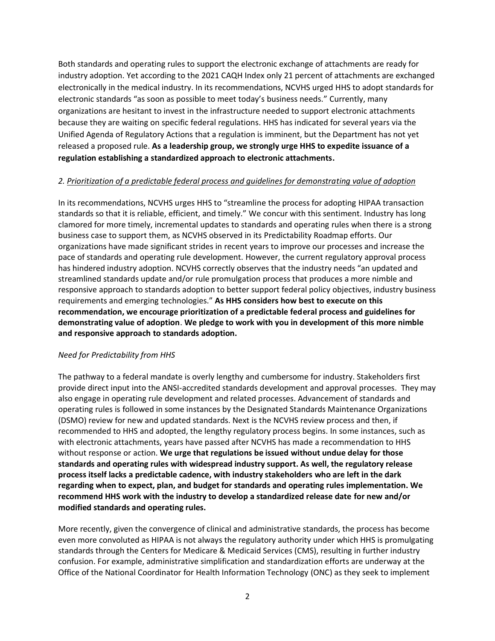Both standards and operating rules to support the electronic exchange of attachments are ready for industry adoption. Yet according to the 2021 CAQH Index only 21 percent of attachments are exchanged electronically in the medical industry. In its recommendations, NCVHS urged HHS to adopt standards for electronic standards "as soon as possible to meet today's business needs." Currently, many organizations are hesitant to invest in the infrastructure needed to support electronic attachments because they are waiting on specific federal regulations. HHS has indicated for several years via the Unified Agenda of Regulatory Actions that a regulation is imminent, but the Department has not yet released a proposed rule. **As a leadership group, we strongly urge HHS to expedite issuance of a regulation establishing a standardized approach to electronic attachments.**

## *2. Prioritization of a predictable federal process and guidelines for demonstrating value of adoption*

In its recommendations, NCVHS urges HHS to "streamline the process for adopting HIPAA transaction standards so that it is reliable, efficient, and timely." We concur with this sentiment. Industry has long clamored for more timely, incremental updates to standards and operating rules when there is a strong business case to support them, as NCVHS observed in its Predictability Roadmap efforts. Our organizations have made significant strides in recent years to improve our processes and increase the pace of standards and operating rule development. However, the current regulatory approval process has hindered industry adoption. NCVHS correctly observes that the industry needs "an updated and streamlined standards update and/or rule promulgation process that produces a more nimble and responsive approach to standards adoption to better support federal policy objectives, industry business requirements and emerging technologies." **As HHS considers how best to execute on this recommendation, we encourage prioritization of a predictable federal process and guidelines for demonstrating value of adoption**. **We pledge to work with you in development of this more nimble and responsive approach to standards adoption.**

### *Need for Predictability from HHS*

The pathway to a federal mandate is overly lengthy and cumbersome for industry. Stakeholders first provide direct input into the ANSI-accredited standards development and approval processes. They may also engage in operating rule development and related processes. Advancement of standards and operating rules is followed in some instances by the Designated Standards Maintenance Organizations (DSMO) review for new and updated standards. Next is the NCVHS review process and then, if recommended to HHS and adopted, the lengthy regulatory process begins. In some instances, such as with electronic attachments, years have passed after NCVHS has made a recommendation to HHS without response or action. **We urge that regulations be issued without undue delay for those standards and operating rules with widespread industry support. As well, the regulatory release process itself lacks a predictable cadence, with industry stakeholders who are left in the dark regarding when to expect, plan, and budget for standards and operating rules implementation. We recommend HHS work with the industry to develop a standardized release date for new and/or modified standards and operating rules.**

More recently, given the convergence of clinical and administrative standards, the process has become even more convoluted as HIPAA is not always the regulatory authority under which HHS is promulgating standards through the Centers for Medicare & Medicaid Services (CMS), resulting in further industry confusion. For example, administrative simplification and standardization efforts are underway at the Office of the National Coordinator for Health Information Technology (ONC) as they seek to implement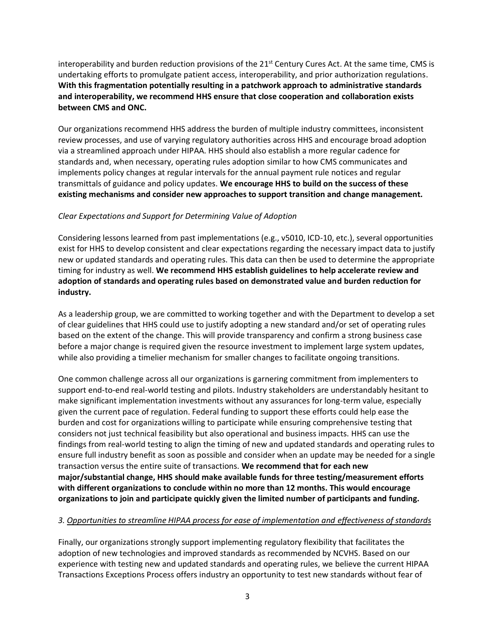interoperability and burden reduction provisions of the  $21<sup>st</sup>$  Century Cures Act. At the same time, CMS is undertaking efforts to promulgate patient access, interoperability, and prior authorization regulations. **With this fragmentation potentially resulting in a patchwork approach to administrative standards and interoperability, we recommend HHS ensure that close cooperation and collaboration exists between CMS and ONC.**

Our organizations recommend HHS address the burden of multiple industry committees, inconsistent review processes, and use of varying regulatory authorities across HHS and encourage broad adoption via a streamlined approach under HIPAA. HHS should also establish a more regular cadence for standards and, when necessary, operating rules adoption similar to how CMS communicates and implements policy changes at regular intervals for the annual payment rule notices and regular transmittals of guidance and policy updates. **We encourage HHS to build on the success of these existing mechanisms and consider new approaches to support transition and change management.**

## *Clear Expectations and Support for Determining Value of Adoption*

Considering lessons learned from past implementations (e.g., v5010, ICD-10, etc.), several opportunities exist for HHS to develop consistent and clear expectations regarding the necessary impact data to justify new or updated standards and operating rules. This data can then be used to determine the appropriate timing for industry as well. **We recommend HHS establish guidelines to help accelerate review and adoption of standards and operating rules based on demonstrated value and burden reduction for industry.**

As a leadership group, we are committed to working together and with the Department to develop a set of clear guidelines that HHS could use to justify adopting a new standard and/or set of operating rules based on the extent of the change. This will provide transparency and confirm a strong business case before a major change is required given the resource investment to implement large system updates, while also providing a timelier mechanism for smaller changes to facilitate ongoing transitions.

One common challenge across all our organizations is garnering commitment from implementers to support end-to-end real-world testing and pilots. Industry stakeholders are understandably hesitant to make significant implementation investments without any assurances for long-term value, especially given the current pace of regulation. Federal funding to support these efforts could help ease the burden and cost for organizations willing to participate while ensuring comprehensive testing that considers not just technical feasibility but also operational and business impacts. HHS can use the findings from real-world testing to align the timing of new and updated standards and operating rules to ensure full industry benefit as soon as possible and consider when an update may be needed for a single transaction versus the entire suite of transactions. **We recommend that for each new major/substantial change, HHS should make available funds for three testing/measurement efforts with different organizations to conclude within no more than 12 months. This would encourage organizations to join and participate quickly given the limited number of participants and funding.**

# *3. Opportunities to streamline HIPAA process for ease of implementation and effectiveness of standards*

Finally, our organizations strongly support implementing regulatory flexibility that facilitates the adoption of new technologies and improved standards as recommended by NCVHS. Based on our experience with testing new and updated standards and operating rules, we believe the current HIPAA Transactions Exceptions Process offers industry an opportunity to test new standards without fear of